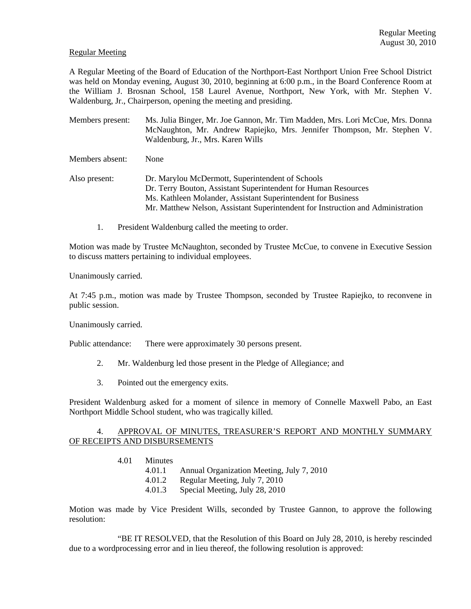## Regular Meeting

A Regular Meeting of the Board of Education of the Northport-East Northport Union Free School District was held on Monday evening, August 30, 2010, beginning at 6:00 p.m., in the Board Conference Room at the William J. Brosnan School, 158 Laurel Avenue, Northport, New York, with Mr. Stephen V. Waldenburg, Jr., Chairperson, opening the meeting and presiding.

Members present: Ms. Julia Binger, Mr. Joe Gannon, Mr. Tim Madden, Mrs. Lori McCue, Mrs. Donna McNaughton, Mr. Andrew Rapiejko, Mrs. Jennifer Thompson, Mr. Stephen V. Waldenburg, Jr., Mrs. Karen Wills

Members absent: None

- Also present: Dr. Marylou McDermott, Superintendent of Schools Dr. Terry Bouton, Assistant Superintendent for Human Resources Ms. Kathleen Molander, Assistant Superintendent for Business Mr. Matthew Nelson, Assistant Superintendent for Instruction and Administration
	- 1. President Waldenburg called the meeting to order.

Motion was made by Trustee McNaughton, seconded by Trustee McCue, to convene in Executive Session to discuss matters pertaining to individual employees.

Unanimously carried.

At 7:45 p.m., motion was made by Trustee Thompson, seconded by Trustee Rapiejko, to reconvene in public session.

Unanimously carried.

Public attendance: There were approximately 30 persons present.

- 2. Mr. Waldenburg led those present in the Pledge of Allegiance; and
- 3. Pointed out the emergency exits.

President Waldenburg asked for a moment of silence in memory of Connelle Maxwell Pabo, an East Northport Middle School student, who was tragically killed.

### 4. APPROVAL OF MINUTES, TREASURER'S REPORT AND MONTHLY SUMMARY OF RECEIPTS AND DISBURSEMENTS

- 4.01 Minutes
	- 4.01.1 Annual Organization Meeting, July 7, 2010
	- 4.01.2 Regular Meeting, July 7, 2010
	- 4.01.3 Special Meeting, July 28, 2010

Motion was made by Vice President Wills, seconded by Trustee Gannon, to approve the following resolution:

 "BE IT RESOLVED, that the Resolution of this Board on July 28, 2010, is hereby rescinded due to a wordprocessing error and in lieu thereof, the following resolution is approved: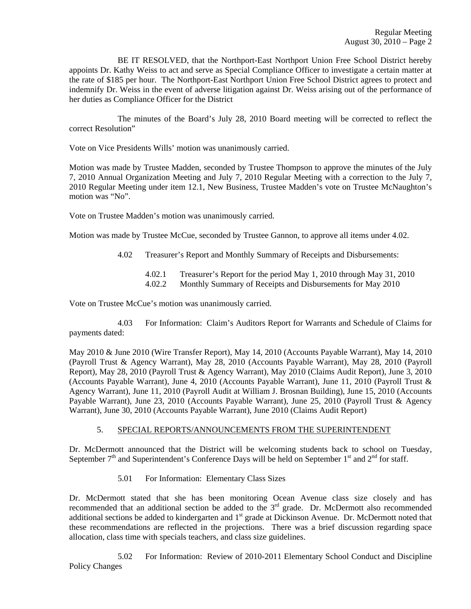BE IT RESOLVED, that the Northport-East Northport Union Free School District hereby appoints Dr. Kathy Weiss to act and serve as Special Compliance Officer to investigate a certain matter at the rate of \$185 per hour. The Northport-East Northport Union Free School District agrees to protect and indemnify Dr. Weiss in the event of adverse litigation against Dr. Weiss arising out of the performance of her duties as Compliance Officer for the District

 The minutes of the Board's July 28, 2010 Board meeting will be corrected to reflect the correct Resolution"

Vote on Vice Presidents Wills' motion was unanimously carried.

Motion was made by Trustee Madden, seconded by Trustee Thompson to approve the minutes of the July 7, 2010 Annual Organization Meeting and July 7, 2010 Regular Meeting with a correction to the July 7, 2010 Regular Meeting under item 12.1, New Business, Trustee Madden's vote on Trustee McNaughton's motion was "No".

Vote on Trustee Madden's motion was unanimously carried.

Motion was made by Trustee McCue, seconded by Trustee Gannon, to approve all items under 4.02.

- 4.02 Treasurer's Report and Monthly Summary of Receipts and Disbursements:
	- 4.02.1 Treasurer's Report for the period May 1, 2010 through May 31, 2010 4.02.2 Monthly Summary of Receipts and Disbursements for May 2010

Vote on Trustee McCue's motion was unanimously carried.

 4.03 For Information: Claim's Auditors Report for Warrants and Schedule of Claims for payments dated:

May 2010 & June 2010 (Wire Transfer Report), May 14, 2010 (Accounts Payable Warrant), May 14, 2010 (Payroll Trust & Agency Warrant), May 28, 2010 (Accounts Payable Warrant), May 28, 2010 (Payroll Report), May 28, 2010 (Payroll Trust & Agency Warrant), May 2010 (Claims Audit Report), June 3, 2010 (Accounts Payable Warrant), June 4, 2010 (Accounts Payable Warrant), June 11, 2010 (Payroll Trust & Agency Warrant), June 11, 2010 (Payroll Audit at William J. Brosnan Building), June 15, 2010 (Accounts Payable Warrant), June 23, 2010 (Accounts Payable Warrant), June 25, 2010 (Payroll Trust & Agency Warrant), June 30, 2010 (Accounts Payable Warrant), June 2010 (Claims Audit Report)

## 5. SPECIAL REPORTS/ANNOUNCEMENTS FROM THE SUPERINTENDENT

Dr. McDermott announced that the District will be welcoming students back to school on Tuesday, September  $7<sup>th</sup>$  and Superintendent's Conference Days will be held on September 1<sup>st</sup> and  $2<sup>nd</sup>$  for staff.

5.01 For Information: Elementary Class Sizes

Dr. McDermott stated that she has been monitoring Ocean Avenue class size closely and has recommended that an additional section be added to the  $3<sup>rd</sup>$  grade. Dr. McDermott also recommended additional sections be added to kindergarten and 1<sup>st</sup> grade at Dickinson Avenue. Dr. McDermott noted that these recommendations are reflected in the projections. There was a brief discussion regarding space allocation, class time with specials teachers, and class size guidelines.

5.02 For Information: Review of 2010-2011 Elementary School Conduct and Discipline Policy Changes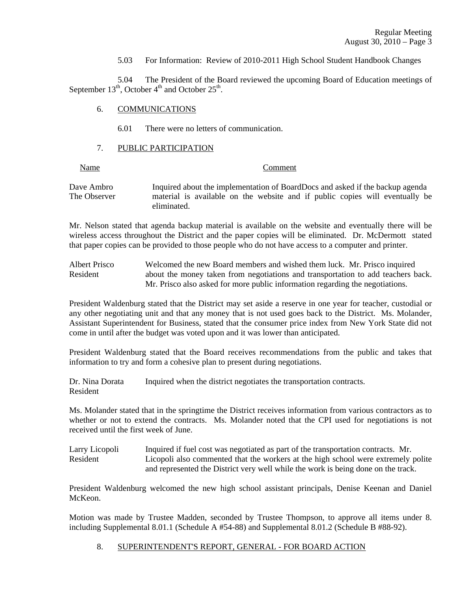5.03 For Information: Review of 2010-2011 High School Student Handbook Changes

 5.04 The President of the Board reviewed the upcoming Board of Education meetings of September  $13^{th}$ , October  $4^{th}$  and October  $25^{th}$ .

### 6. COMMUNICATIONS

6.01 There were no letters of communication.

## 7. PUBLIC PARTICIPATION

## Name Comment

Dave Ambro Inquired about the implementation of BoardDocs and asked if the backup agenda The Observer material is available on the website and if public copies will eventually be eliminated.

Mr. Nelson stated that agenda backup material is available on the website and eventually there will be wireless access throughout the District and the paper copies will be eliminated. Dr. McDermott stated that paper copies can be provided to those people who do not have access to a computer and printer.

Albert Prisco Welcomed the new Board members and wished them luck. Mr. Prisco inquired Resident about the money taken from negotiations and transportation to add teachers back. Mr. Prisco also asked for more public information regarding the negotiations.

President Waldenburg stated that the District may set aside a reserve in one year for teacher, custodial or any other negotiating unit and that any money that is not used goes back to the District. Ms. Molander, Assistant Superintendent for Business, stated that the consumer price index from New York State did not come in until after the budget was voted upon and it was lower than anticipated.

President Waldenburg stated that the Board receives recommendations from the public and takes that information to try and form a cohesive plan to present during negotiations.

Dr. Nina Dorata Inquired when the district negotiates the transportation contracts. Resident

Ms. Molander stated that in the springtime the District receives information from various contractors as to whether or not to extend the contracts. Ms. Molander noted that the CPI used for negotiations is not received until the first week of June.

Larry Licopoli Inquired if fuel cost was negotiated as part of the transportation contracts. Mr. Resident Licopoli also commented that the workers at the high school were extremely polite and represented the District very well while the work is being done on the track.

President Waldenburg welcomed the new high school assistant principals, Denise Keenan and Daniel McKeon.

Motion was made by Trustee Madden, seconded by Trustee Thompson, to approve all items under 8. including Supplemental 8.01.1 (Schedule A #54-88) and Supplemental 8.01.2 (Schedule B #88-92).

8. SUPERINTENDENT'S REPORT, GENERAL - FOR BOARD ACTION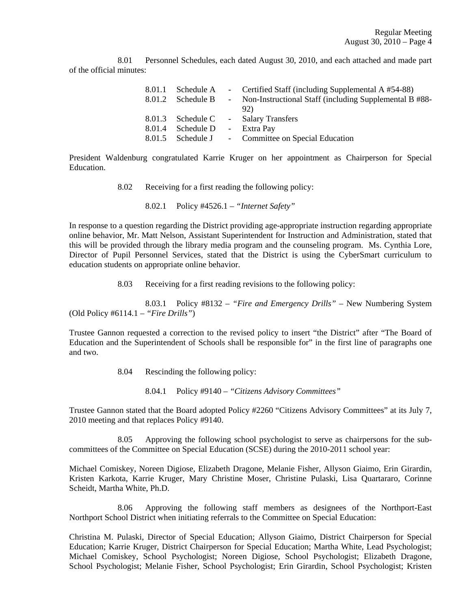8.01 Personnel Schedules, each dated August 30, 2010, and each attached and made part of the official minutes:

|        |                   |                 | 8.01.1 Schedule A - Certified Staff (including Supplemental A #54-88) |
|--------|-------------------|-----------------|-----------------------------------------------------------------------|
|        | 8.01.2 Schedule B | $\sim$ 10 $\pm$ | Non-Instructional Staff (including Supplemental B #88-                |
|        |                   |                 | 92)                                                                   |
|        |                   |                 | 8.01.3 Schedule C - Salary Transfers                                  |
| 8.01.4 | Schedule D        |                 | - Extra Pay                                                           |
|        | 8.01.5 Schedule J |                 | - Committee on Special Education                                      |

President Waldenburg congratulated Karrie Kruger on her appointment as Chairperson for Special Education.

8.02 Receiving for a first reading the following policy:

8.02.1 Policy #4526.1 – *"Internet Safety"*

In response to a question regarding the District providing age-appropriate instruction regarding appropriate online behavior, Mr. Matt Nelson, Assistant Superintendent for Instruction and Administration, stated that this will be provided through the library media program and the counseling program. Ms. Cynthia Lore, Director of Pupil Personnel Services, stated that the District is using the CyberSmart curriculum to education students on appropriate online behavior.

8.03 Receiving for a first reading revisions to the following policy:

 8.03.1 Policy #8132 – *"Fire and Emergency Drills"* – New Numbering System (Old Policy #6114.1 – *"Fire Drills"*)

Trustee Gannon requested a correction to the revised policy to insert "the District" after "The Board of Education and the Superintendent of Schools shall be responsible for" in the first line of paragraphs one and two.

8.04 Rescinding the following policy:

8.04.1 Policy #9140 – *"Citizens Advisory Committees"*

Trustee Gannon stated that the Board adopted Policy #2260 "Citizens Advisory Committees" at its July 7, 2010 meeting and that replaces Policy #9140.

 8.05 Approving the following school psychologist to serve as chairpersons for the subcommittees of the Committee on Special Education (SCSE) during the 2010-2011 school year:

Michael Comiskey, Noreen Digiose, Elizabeth Dragone, Melanie Fisher, Allyson Giaimo, Erin Girardin, Kristen Karkota, Karrie Kruger, Mary Christine Moser, Christine Pulaski, Lisa Quartararo, Corinne Scheidt, Martha White, Ph.D.

 8.06 Approving the following staff members as designees of the Northport-East Northport School District when initiating referrals to the Committee on Special Education:

Christina M. Pulaski, Director of Special Education; Allyson Giaimo, District Chairperson for Special Education; Karrie Kruger, District Chairperson for Special Education; Martha White, Lead Psychologist; Michael Comiskey, School Psychologist; Noreen Digiose, School Psychologist; Elizabeth Dragone, School Psychologist; Melanie Fisher, School Psychologist; Erin Girardin, School Psychologist; Kristen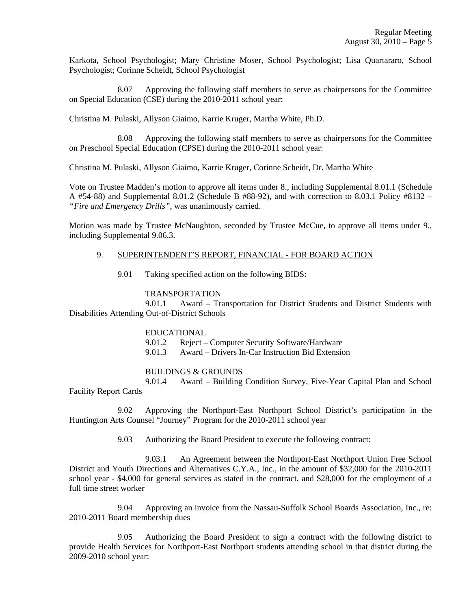Karkota, School Psychologist; Mary Christine Moser, School Psychologist; Lisa Quartararo, School Psychologist; Corinne Scheidt, School Psychologist

 8.07 Approving the following staff members to serve as chairpersons for the Committee on Special Education (CSE) during the 2010-2011 school year:

Christina M. Pulaski, Allyson Giaimo, Karrie Kruger, Martha White, Ph.D.

 8.08 Approving the following staff members to serve as chairpersons for the Committee on Preschool Special Education (CPSE) during the 2010-2011 school year:

Christina M. Pulaski, Allyson Giaimo, Karrie Kruger, Corinne Scheidt, Dr. Martha White

Vote on Trustee Madden's motion to approve all items under 8., including Supplemental 8.01.1 (Schedule A #54-88) and Supplemental 8.01.2 (Schedule B #88-92), and with correction to 8.03.1 Policy #8132 – *"Fire and Emergency Drills"*, was unanimously carried.

Motion was made by Trustee McNaughton, seconded by Trustee McCue, to approve all items under 9., including Supplemental 9.06.3.

### 9. SUPERINTENDENT'S REPORT, FINANCIAL - FOR BOARD ACTION

9.01 Taking specified action on the following BIDS:

### TRANSPORTATION

 9.01.1 Award – Transportation for District Students and District Students with Disabilities Attending Out-of-District Schools

#### EDUCATIONAL

9.01.2 Reject – Computer Security Software/Hardware

9.01.3 Award – Drivers In-Car Instruction Bid Extension

#### BUILDINGS & GROUNDS

 9.01.4 Award – Building Condition Survey, Five-Year Capital Plan and School Facility Report Cards

 9.02 Approving the Northport-East Northport School District's participation in the Huntington Arts Counsel "Journey" Program for the 2010-2011 school year

9.03 Authorizing the Board President to execute the following contract:

 9.03.1 An Agreement between the Northport-East Northport Union Free School District and Youth Directions and Alternatives C.Y.A., Inc., in the amount of \$32,000 for the 2010-2011 school year - \$4,000 for general services as stated in the contract, and \$28,000 for the employment of a full time street worker

 9.04 Approving an invoice from the Nassau-Suffolk School Boards Association, Inc., re: 2010-2011 Board membership dues

 9.05 Authorizing the Board President to sign a contract with the following district to provide Health Services for Northport-East Northport students attending school in that district during the 2009-2010 school year: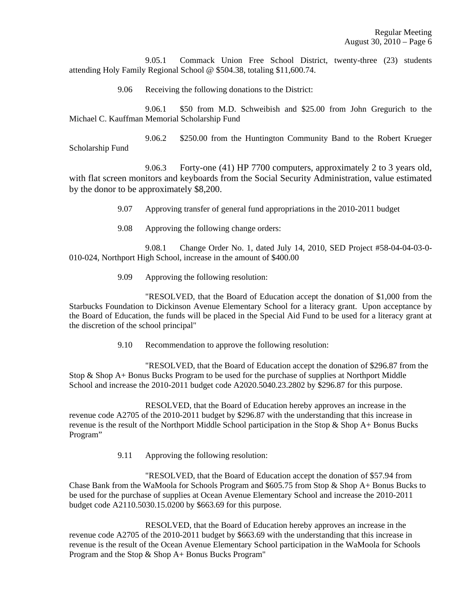9.05.1 Commack Union Free School District, twenty-three (23) students attending Holy Family Regional School @ \$504.38, totaling \$11,600.74.

9.06 Receiving the following donations to the District:

 9.06.1 \$50 from M.D. Schweibish and \$25.00 from John Gregurich to the Michael C. Kauffman Memorial Scholarship Fund

 9.06.2 \$250.00 from the Huntington Community Band to the Robert Krueger Scholarship Fund

 9.06.3 Forty-one (41) HP 7700 computers, approximately 2 to 3 years old, with flat screen monitors and keyboards from the Social Security Administration, value estimated by the donor to be approximately \$8,200.

9.07 Approving transfer of general fund appropriations in the 2010-2011 budget

9.08 Approving the following change orders:

 9.08.1 Change Order No. 1, dated July 14, 2010, SED Project #58-04-04-03-0- 010-024, Northport High School, increase in the amount of \$400.00

9.09 Approving the following resolution:

 "RESOLVED, that the Board of Education accept the donation of \$1,000 from the Starbucks Foundation to Dickinson Avenue Elementary School for a literacy grant. Upon acceptance by the Board of Education, the funds will be placed in the Special Aid Fund to be used for a literacy grant at the discretion of the school principal"

9.10 Recommendation to approve the following resolution:

"RESOLVED, that the Board of Education accept the donation of \$296.87 from the Stop & Shop A+ Bonus Bucks Program to be used for the purchase of supplies at Northport Middle School and increase the 2010-2011 budget code A2020.5040.23.2802 by \$296.87 for this purpose.

RESOLVED, that the Board of Education hereby approves an increase in the revenue code A2705 of the 2010-2011 budget by \$296.87 with the understanding that this increase in revenue is the result of the Northport Middle School participation in the Stop  $\&$  Shop A+ Bonus Bucks Program"

9.11 Approving the following resolution:

"RESOLVED, that the Board of Education accept the donation of \$57.94 from Chase Bank from the WaMoola for Schools Program and  $$605.75$  from Stop & Shop A+ Bonus Bucks to be used for the purchase of supplies at Ocean Avenue Elementary School and increase the 2010-2011 budget code A2110.5030.15.0200 by \$663.69 for this purpose.

RESOLVED, that the Board of Education hereby approves an increase in the revenue code A2705 of the 2010-2011 budget by \$663.69 with the understanding that this increase in revenue is the result of the Ocean Avenue Elementary School participation in the WaMoola for Schools Program and the Stop & Shop A+ Bonus Bucks Program"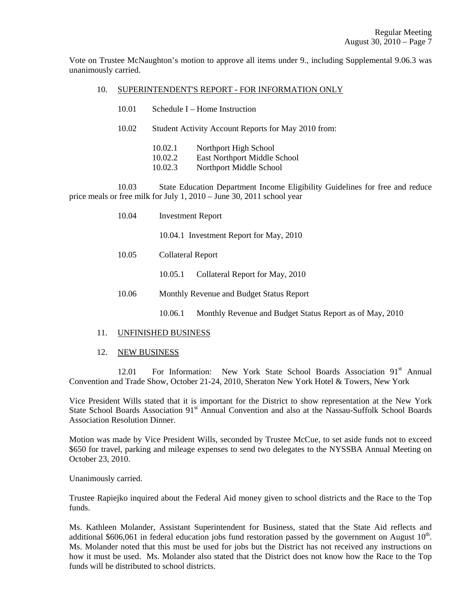Vote on Trustee McNaughton's motion to approve all items under 9., including Supplemental 9.06.3 was unanimously carried.

# 10. SUPERINTENDENT'S REPORT - FOR INFORMATION ONLY

10.02 Student Activity Account Reports for May 2010 from:

 10.02.1 Northport High School 10.02.2 East Northport Middle School

10.02.3 Northport Middle School

 10.03 State Education Department Income Eligibility Guidelines for free and reduce price meals or free milk for July 1, 2010 – June 30, 2011 school year

| 10.04 | <b>Investment Report</b>                 |                                                          |  |
|-------|------------------------------------------|----------------------------------------------------------|--|
|       |                                          | 10.04.1 Investment Report for May, 2010                  |  |
| 10.05 | <b>Collateral Report</b>                 |                                                          |  |
|       | 10.05.1                                  | Collateral Report for May, 2010                          |  |
| 10.06 | Monthly Revenue and Budget Status Report |                                                          |  |
|       | 10.06.1                                  | Monthly Revenue and Budget Status Report as of May, 2010 |  |

#### 11. UNFINISHED BUSINESS

#### 12. NEW BUSINESS

12.01 For Information: New York State School Boards Association 91<sup>st</sup> Annual Convention and Trade Show, October 21-24, 2010, Sheraton New York Hotel & Towers, New York

Vice President Wills stated that it is important for the District to show representation at the New York State School Boards Association 91<sup>st</sup> Annual Convention and also at the Nassau-Suffolk School Boards Association Resolution Dinner.

Motion was made by Vice President Wills, seconded by Trustee McCue, to set aside funds not to exceed \$650 for travel, parking and mileage expenses to send two delegates to the NYSSBA Annual Meeting on October 23, 2010.

Unanimously carried.

Trustee Rapiejko inquired about the Federal Aid money given to school districts and the Race to the Top funds.

Ms. Kathleen Molander, Assistant Superintendent for Business, stated that the State Aid reflects and additional \$606,061 in federal education jobs fund restoration passed by the government on August  $10^{th}$ . Ms. Molander noted that this must be used for jobs but the District has not received any instructions on how it must be used. Ms. Molander also stated that the District does not know how the Race to the Top funds will be distributed to school districts.